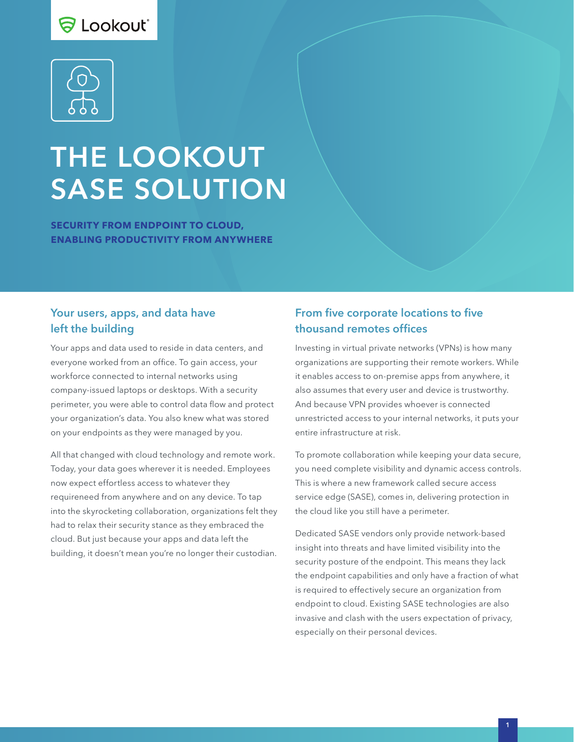# S Lookout\*



# THE LOOKOUT SASE SOLUTION

**SECURITY FROM ENDPOINT TO CLOUD, ENABLING PRODUCTIVITY FROM ANYWHERE**

#### Your users, apps, and data have left the building

Your apps and data used to reside in data centers, and everyone worked from an office. To gain access, your workforce connected to internal networks using company-issued laptops or desktops. With a security perimeter, you were able to control data flow and protect your organization's data. You also knew what was stored on your endpoints as they were managed by you.

All that changed with cloud technology and remote work. Today, your data goes wherever it is needed. Employees now expect effortless access to whatever they requireneed from anywhere and on any device. To tap into the skyrocketing collaboration, organizations felt they had to relax their security stance as they embraced the cloud. But just because your apps and data left the building, it doesn't mean you're no longer their custodian.

# From five corporate locations to five thousand remotes offices

Investing in virtual private networks (VPNs) is how many organizations are supporting their remote workers. While it enables access to on-premise apps from anywhere, it also assumes that every user and device is trustworthy. And because VPN provides whoever is connected unrestricted access to your internal networks, it puts your entire infrastructure at risk.

To promote collaboration while keeping your data secure, you need complete visibility and dynamic access controls. This is where a new framework called secure access service edge (SASE), comes in, delivering protection in the cloud like you still have a perimeter.

Dedicated SASE vendors only provide network-based insight into threats and have limited visibility into the security posture of the endpoint. This means they lack the endpoint capabilities and only have a fraction of what is required to effectively secure an organization from endpoint to cloud. Existing SASE technologies are also invasive and clash with the users expectation of privacy, especially on their personal devices.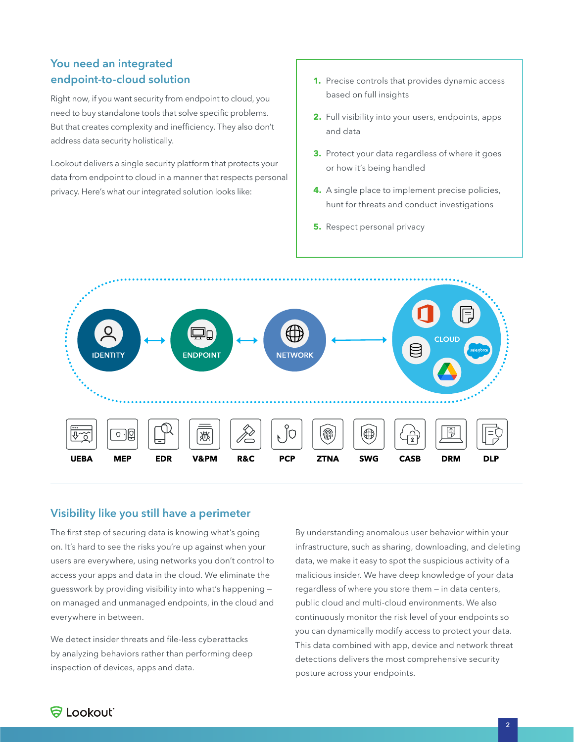## You need an integrated endpoint-to-cloud solution

Right now, if you want security from endpoint to cloud, you need to buy standalone tools that solve specific problems. But that creates complexity and inefficiency. They also don't address data security holistically.

Lookout delivers a single security platform that protects your data from endpoint to cloud in a manner that respects personal privacy. Here's what our integrated solution looks like:

- **1.** Precise controls that provides dynamic access based on full insights
- **2.** Full visibility into your users, endpoints, apps and data
- **3.** Protect your data regardless of where it goes or how it's being handled
- **4.** A single place to implement precise policies, hunt for threats and conduct investigations
- **5.** Respect personal privacy



#### Visibility like you still have a perimeter

The first step of securing data is knowing what's going on. It's hard to see the risks you're up against when your users are everywhere, using networks you don't control to access your apps and data in the cloud. We eliminate the guesswork by providing visibility into what's happening on managed and unmanaged endpoints, in the cloud and everywhere in between.

We detect insider threats and file-less cyberattacks by analyzing behaviors rather than performing deep inspection of devices, apps and data.

By understanding anomalous user behavior within your infrastructure, such as sharing, downloading, and deleting data, we make it easy to spot the suspicious activity of a malicious insider. We have deep knowledge of your data regardless of where you store them — in data centers, public cloud and multi-cloud environments. We also continuously monitor the risk level of your endpoints so you can dynamically modify access to protect your data. This data combined with app, device and network threat detections delivers the most comprehensive security posture across your endpoints.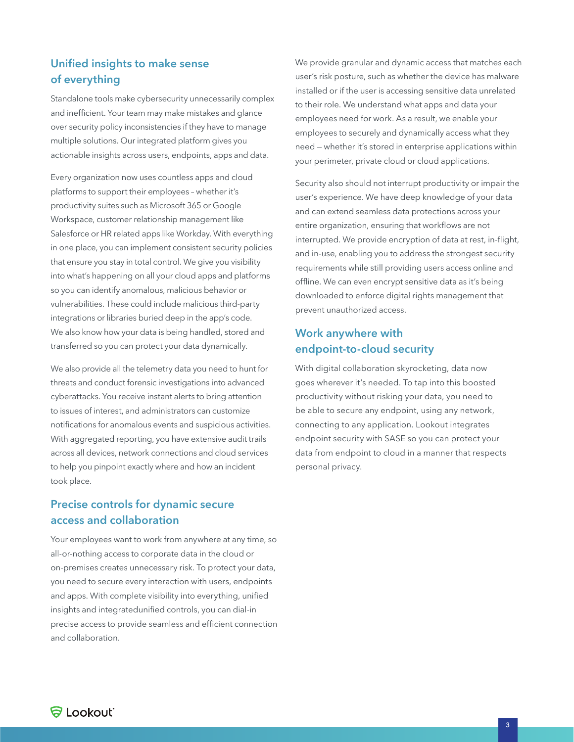## Unified insights to make sense of everything

Standalone tools make cybersecurity unnecessarily complex and inefficient. Your team may make mistakes and glance over security policy inconsistencies if they have to manage multiple solutions. Our integrated platform gives you actionable insights across users, endpoints, apps and data.

Every organization now uses countless apps and cloud platforms to support their employees – whether it's productivity suites such as Microsoft 365 or Google Workspace, customer relationship management like Salesforce or HR related apps like Workday. With everything in one place, you can implement consistent security policies that ensure you stay in total control. We give you visibility into what's happening on all your cloud apps and platforms so you can identify anomalous, malicious behavior or vulnerabilities. These could include malicious third-party integrations or libraries buried deep in the app's code. We also know how your data is being handled, stored and transferred so you can protect your data dynamically.

We also provide all the telemetry data you need to hunt for threats and conduct forensic investigations into advanced cyberattacks. You receive instant alerts to bring attention to issues of interest, and administrators can customize notifications for anomalous events and suspicious activities. With aggregated reporting, you have extensive audit trails across all devices, network connections and cloud services to help you pinpoint exactly where and how an incident took place.

#### Precise controls for dynamic secure access and collaboration

Your employees want to work from anywhere at any time, so all-or-nothing access to corporate data in the cloud or on-premises creates unnecessary risk. To protect your data, you need to secure every interaction with users, endpoints and apps. With complete visibility into everything, unified insights and integratedunified controls, you can dial-in precise access to provide seamless and efficient connection and collaboration.

We provide granular and dynamic access that matches each user's risk posture, such as whether the device has malware installed or if the user is accessing sensitive data unrelated to their role. We understand what apps and data your employees need for work. As a result, we enable your employees to securely and dynamically access what they need — whether it's stored in enterprise applications within your perimeter, private cloud or cloud applications.

Security also should not interrupt productivity or impair the user's experience. We have deep knowledge of your data and can extend seamless data protections across your entire organization, ensuring that workflows are not interrupted. We provide encryption of data at rest, in-flight, and in-use, enabling you to address the strongest security requirements while still providing users access online and offline. We can even encrypt sensitive data as it's being downloaded to enforce digital rights management that prevent unauthorized access.

#### Work anywhere with endpoint-to-cloud security

With digital collaboration skyrocketing, data now goes wherever it's needed. To tap into this boosted productivity without risking your data, you need to be able to secure any endpoint, using any network, connecting to any application. Lookout integrates endpoint security with SASE so you can protect your data from endpoint to cloud in a manner that respects personal privacy.